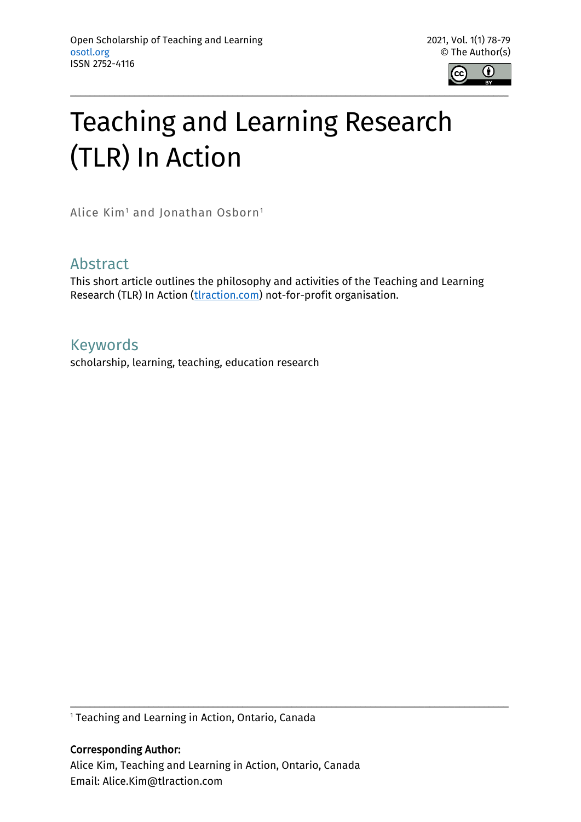

## Teaching and Learning Research (TLR) In Action

Alice Kim<sup>1</sup> and Jonathan Osborn<sup>1</sup>

## Abstract

This short article outlines the philosophy and activities of the Teaching and Learning Research (TLR) In Action (thaction.com) not-for-profit organisation.

## Keywords

scholarship, learning, teaching, education research

<sup>1</sup> Teaching and Learning in Action, Ontario, Canada

Corresponding Author: Alice Kim, Teaching and Learning in Action, Ontario, Canada Email: Alice.Kim@tlraction.com

\_\_\_\_\_\_\_\_\_\_\_\_\_\_\_\_\_\_\_\_\_\_\_\_\_\_\_\_\_\_\_\_\_\_\_\_\_\_\_\_\_\_\_\_\_\_\_\_\_\_\_\_\_\_\_\_\_\_\_\_\_\_\_\_\_\_\_\_\_\_\_\_\_\_\_\_\_\_\_\_\_\_\_\_\_\_\_\_\_